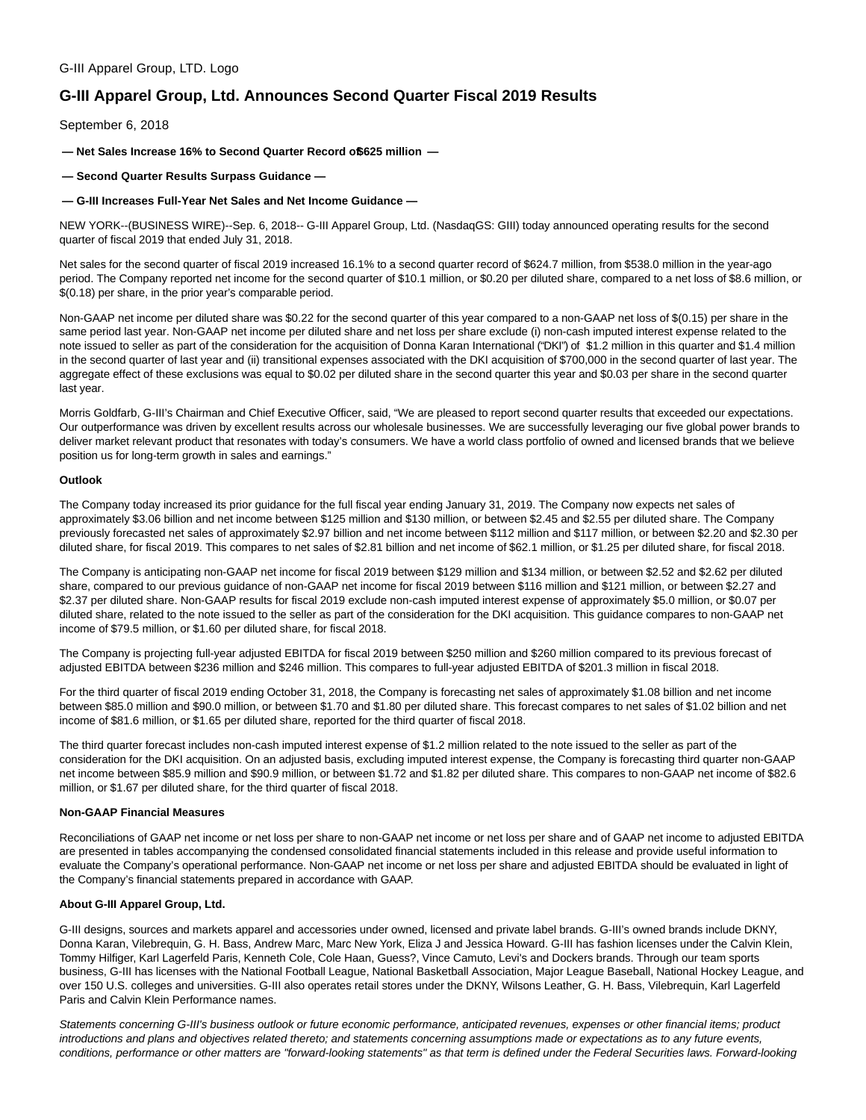#### G-III Apparel Group, LTD. Logo

# **G-III Apparel Group, Ltd. Announces Second Quarter Fiscal 2019 Results**

September 6, 2018

 $-$  Net Sales Increase 16% to Second Quarter Record o\$625 million  $-$ 

- **Second Quarter Results Surpass Guidance —**
- **G-III Increases Full-Year Net Sales and Net Income Guidance —**

NEW YORK--(BUSINESS WIRE)--Sep. 6, 2018-- G-III Apparel Group, Ltd. (NasdaqGS: GIII) today announced operating results for the second quarter of fiscal 2019 that ended July 31, 2018.

Net sales for the second quarter of fiscal 2019 increased 16.1% to a second quarter record of \$624.7 million, from \$538.0 million in the year-ago period. The Company reported net income for the second quarter of \$10.1 million, or \$0.20 per diluted share, compared to a net loss of \$8.6 million, or \$(0.18) per share, in the prior year's comparable period.

Non-GAAP net income per diluted share was \$0.22 for the second quarter of this year compared to a non-GAAP net loss of \$(0.15) per share in the same period last year. Non-GAAP net income per diluted share and net loss per share exclude (i) non-cash imputed interest expense related to the note issued to seller as part of the consideration for the acquisition of Donna Karan International ("DKI") of \$1.2 million in this quarter and \$1.4 million in the second quarter of last year and (ii) transitional expenses associated with the DKI acquisition of \$700,000 in the second quarter of last year. The aggregate effect of these exclusions was equal to \$0.02 per diluted share in the second quarter this year and \$0.03 per share in the second quarter last year.

Morris Goldfarb, G-III's Chairman and Chief Executive Officer, said, "We are pleased to report second quarter results that exceeded our expectations. Our outperformance was driven by excellent results across our wholesale businesses. We are successfully leveraging our five global power brands to deliver market relevant product that resonates with today's consumers. We have a world class portfolio of owned and licensed brands that we believe position us for long-term growth in sales and earnings."

#### **Outlook**

The Company today increased its prior guidance for the full fiscal year ending January 31, 2019. The Company now expects net sales of approximately \$3.06 billion and net income between \$125 million and \$130 million, or between \$2.45 and \$2.55 per diluted share. The Company previously forecasted net sales of approximately \$2.97 billion and net income between \$112 million and \$117 million, or between \$2.20 and \$2.30 per diluted share, for fiscal 2019. This compares to net sales of \$2.81 billion and net income of \$62.1 million, or \$1.25 per diluted share, for fiscal 2018.

The Company is anticipating non-GAAP net income for fiscal 2019 between \$129 million and \$134 million, or between \$2.52 and \$2.62 per diluted share, compared to our previous guidance of non-GAAP net income for fiscal 2019 between \$116 million and \$121 million, or between \$2.27 and \$2.37 per diluted share. Non-GAAP results for fiscal 2019 exclude non-cash imputed interest expense of approximately \$5.0 million, or \$0.07 per diluted share, related to the note issued to the seller as part of the consideration for the DKI acquisition. This guidance compares to non-GAAP net income of \$79.5 million, or \$1.60 per diluted share, for fiscal 2018.

The Company is projecting full-year adjusted EBITDA for fiscal 2019 between \$250 million and \$260 million compared to its previous forecast of adjusted EBITDA between \$236 million and \$246 million. This compares to full-year adjusted EBITDA of \$201.3 million in fiscal 2018.

For the third quarter of fiscal 2019 ending October 31, 2018, the Company is forecasting net sales of approximately \$1.08 billion and net income between \$85.0 million and \$90.0 million, or between \$1.70 and \$1.80 per diluted share. This forecast compares to net sales of \$1.02 billion and net income of \$81.6 million, or \$1.65 per diluted share, reported for the third quarter of fiscal 2018.

The third quarter forecast includes non-cash imputed interest expense of \$1.2 million related to the note issued to the seller as part of the consideration for the DKI acquisition. On an adjusted basis, excluding imputed interest expense, the Company is forecasting third quarter non-GAAP net income between \$85.9 million and \$90.9 million, or between \$1.72 and \$1.82 per diluted share. This compares to non-GAAP net income of \$82.6 million, or \$1.67 per diluted share, for the third quarter of fiscal 2018.

## **Non-GAAP Financial Measures**

Reconciliations of GAAP net income or net loss per share to non-GAAP net income or net loss per share and of GAAP net income to adjusted EBITDA are presented in tables accompanying the condensed consolidated financial statements included in this release and provide useful information to evaluate the Company's operational performance. Non-GAAP net income or net loss per share and adjusted EBITDA should be evaluated in light of the Company's financial statements prepared in accordance with GAAP.

## **About G-III Apparel Group, Ltd.**

G-III designs, sources and markets apparel and accessories under owned, licensed and private label brands. G-III's owned brands include DKNY, Donna Karan, Vilebrequin, G. H. Bass, Andrew Marc, Marc New York, Eliza J and Jessica Howard. G-III has fashion licenses under the Calvin Klein, Tommy Hilfiger, Karl Lagerfeld Paris, Kenneth Cole, Cole Haan, Guess?, Vince Camuto, Levi's and Dockers brands. Through our team sports business, G-III has licenses with the National Football League, National Basketball Association, Major League Baseball, National Hockey League, and over 150 U.S. colleges and universities. G-III also operates retail stores under the DKNY, Wilsons Leather, G. H. Bass, Vilebrequin, Karl Lagerfeld Paris and Calvin Klein Performance names.

Statements concerning G-III's business outlook or future economic performance, anticipated revenues, expenses or other financial items; product introductions and plans and objectives related thereto; and statements concerning assumptions made or expectations as to any future events, conditions, performance or other matters are "forward-looking statements" as that term is defined under the Federal Securities laws. Forward-looking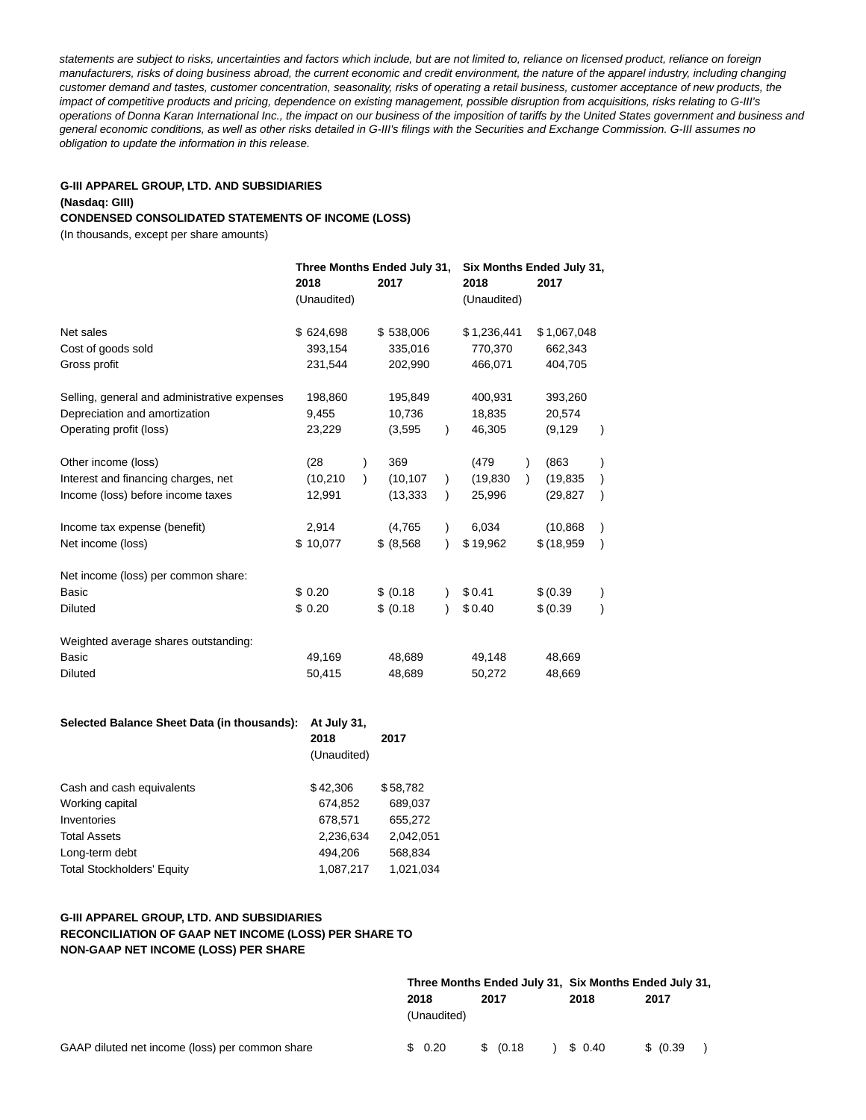statements are subject to risks, uncertainties and factors which include, but are not limited to, reliance on licensed product, reliance on foreign manufacturers, risks of doing business abroad, the current economic and credit environment, the nature of the apparel industry, including changing customer demand and tastes, customer concentration, seasonality, risks of operating a retail business, customer acceptance of new products, the impact of competitive products and pricing, dependence on existing management, possible disruption from acquisitions, risks relating to G-III's operations of Donna Karan International Inc., the impact on our business of the imposition of tariffs by the United States government and business and general economic conditions, as well as other risks detailed in G-III's filings with the Securities and Exchange Commission. G-III assumes no obligation to update the information in this release.

#### **G-III APPAREL GROUP, LTD. AND SUBSIDIARIES**

#### **(Nasdaq: GIII)**

## **CONDENSED CONSOLIDATED STATEMENTS OF INCOME (LOSS)**

(In thousands, except per share amounts)

|                                              | Three Months Ended July 31, |  |  |            | Six Months Ended July 31, |             |  |             |           |
|----------------------------------------------|-----------------------------|--|--|------------|---------------------------|-------------|--|-------------|-----------|
|                                              | 2018                        |  |  | 2017       |                           | 2018        |  | 2017        |           |
|                                              | (Unaudited)                 |  |  |            |                           | (Unaudited) |  |             |           |
| Net sales                                    | \$624,698                   |  |  | \$538,006  |                           | \$1,236,441 |  | \$1,067,048 |           |
| Cost of goods sold                           | 393,154                     |  |  | 335,016    |                           | 770,370     |  | 662,343     |           |
| Gross profit                                 | 231,544                     |  |  | 202,990    |                           | 466,071     |  | 404,705     |           |
| Selling, general and administrative expenses | 198,860                     |  |  | 195,849    |                           | 400,931     |  | 393,260     |           |
| Depreciation and amortization                | 9,455                       |  |  | 10,736     |                           | 18,835      |  | 20,574      |           |
| Operating profit (loss)                      | 23,229                      |  |  | (3,595)    | $\mathcal{E}$             | 46,305      |  | (9, 129)    | $\lambda$ |
| Other income (loss)                          | (28)                        |  |  | 369        |                           | (479)       |  | (863)       |           |
| Interest and financing charges, net          | (10, 210)                   |  |  | (10, 107)  |                           | (19, 830)   |  | (19, 835)   |           |
| Income (loss) before income taxes            | 12,991                      |  |  | (13, 333)  | $\lambda$                 | 25,996      |  | (29, 827)   |           |
| Income tax expense (benefit)                 | 2,914                       |  |  | (4,765)    |                           | 6,034       |  | (10, 868)   |           |
| Net income (loss)                            | \$10,077                    |  |  | \$ (8,568) |                           | \$19,962    |  | \$(18,959)  |           |
| Net income (loss) per common share:          |                             |  |  |            |                           |             |  |             |           |
| Basic                                        | \$0.20                      |  |  | \$ (0.18)  |                           | \$0.41      |  | \$ (0.39)   |           |
| <b>Diluted</b>                               | \$0.20                      |  |  | \$ (0.18)  |                           | \$0.40      |  | \$ (0.39)   |           |
| Weighted average shares outstanding:         |                             |  |  |            |                           |             |  |             |           |
| Basic                                        | 49,169                      |  |  | 48,689     |                           | 49,148      |  | 48,669      |           |
| <b>Diluted</b>                               | 50,415                      |  |  | 48,689     |                           | 50,272      |  | 48,669      |           |

| Selected Balance Sheet Data (in thousands): | At July 31,<br>2018<br>(Unaudited) | 2017      |
|---------------------------------------------|------------------------------------|-----------|
| Cash and cash equivalents                   | \$42,306                           | \$58,782  |
| Working capital                             | 674,852                            | 689,037   |
| Inventories                                 | 678,571                            | 655,272   |
| <b>Total Assets</b>                         | 2,236,634                          | 2.042.051 |
| Long-term debt                              | 494,206                            | 568,834   |
| <b>Total Stockholders' Equity</b>           | 1,087,217                          | 1,021,034 |
|                                             |                                    |           |

## **G-III APPAREL GROUP, LTD. AND SUBSIDIARIES RECONCILIATION OF GAAP NET INCOME (LOSS) PER SHARE TO NON-GAAP NET INCOME (LOSS) PER SHARE**

|                                                 |                     |              | Three Months Ended July 31, Six Months Ended July 31, |           |  |
|-------------------------------------------------|---------------------|--------------|-------------------------------------------------------|-----------|--|
|                                                 | 2018<br>(Unaudited) | 2017         | 2018                                                  | 2017      |  |
| GAAP diluted net income (loss) per common share | \$0.20              | $$^{(0.18)}$ | $3 \tImes 0.40$                                       | \$ (0.39) |  |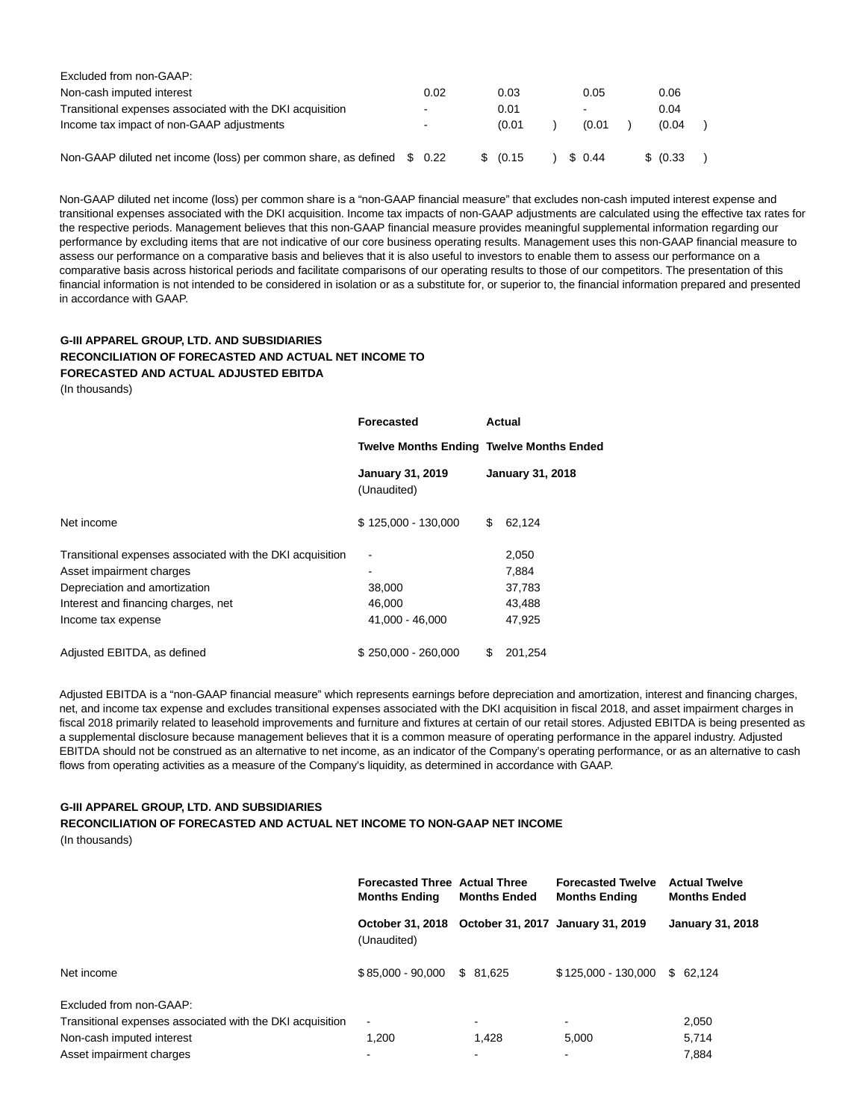| Excluded from non-GAAP:                                                 |   |      |              |         |  |           |  |
|-------------------------------------------------------------------------|---|------|--------------|---------|--|-----------|--|
| Non-cash imputed interest                                               |   | 0.02 | 0.03         | 0.05    |  | 0.06      |  |
| Transitional expenses associated with the DKI acquisition               | - |      | 0.01         |         |  | 0.04      |  |
| Income tax impact of non-GAAP adjustments                               | - |      | (0.01)       | (0.01)  |  | (0.04)    |  |
| Non-GAAP diluted net income (loss) per common share, as defined \$ 0.22 |   |      | $$^{(0.15)}$ | \$ 0.44 |  | \$ (0.33) |  |

Non-GAAP diluted net income (loss) per common share is a "non-GAAP financial measure" that excludes non-cash imputed interest expense and transitional expenses associated with the DKI acquisition. Income tax impacts of non-GAAP adjustments are calculated using the effective tax rates for the respective periods. Management believes that this non-GAAP financial measure provides meaningful supplemental information regarding our performance by excluding items that are not indicative of our core business operating results. Management uses this non-GAAP financial measure to assess our performance on a comparative basis and believes that it is also useful to investors to enable them to assess our performance on a comparative basis across historical periods and facilitate comparisons of our operating results to those of our competitors. The presentation of this financial information is not intended to be considered in isolation or as a substitute for, or superior to, the financial information prepared and presented in accordance with GAAP.

# **G-III APPAREL GROUP, LTD. AND SUBSIDIARIES RECONCILIATION OF FORECASTED AND ACTUAL NET INCOME TO FORECASTED AND ACTUAL ADJUSTED EBITDA**

(In thousands)

| <b>Forecasted</b>                      |     | <b>Actual</b>                                   |  |  |  |
|----------------------------------------|-----|-------------------------------------------------|--|--|--|
|                                        |     |                                                 |  |  |  |
| <b>January 31, 2019</b><br>(Unaudited) |     | <b>January 31, 2018</b>                         |  |  |  |
| \$125,000 - 130,000                    | \$. | 62,124                                          |  |  |  |
| ٠                                      |     | 2,050                                           |  |  |  |
|                                        |     | 7,884                                           |  |  |  |
| 38,000                                 |     | 37,783                                          |  |  |  |
| 46,000                                 |     | 43,488                                          |  |  |  |
| 41.000 - 46.000                        |     | 47,925                                          |  |  |  |
| $$250.000 - 260.000$                   | S   | 201.254                                         |  |  |  |
|                                        |     | <b>Twelve Months Ending Twelve Months Ended</b> |  |  |  |

Adjusted EBITDA is a "non-GAAP financial measure" which represents earnings before depreciation and amortization, interest and financing charges, net, and income tax expense and excludes transitional expenses associated with the DKI acquisition in fiscal 2018, and asset impairment charges in fiscal 2018 primarily related to leasehold improvements and furniture and fixtures at certain of our retail stores. Adjusted EBITDA is being presented as a supplemental disclosure because management believes that it is a common measure of operating performance in the apparel industry. Adjusted EBITDA should not be construed as an alternative to net income, as an indicator of the Company's operating performance, or as an alternative to cash flows from operating activities as a measure of the Company's liquidity, as determined in accordance with GAAP.

#### **G-III APPAREL GROUP, LTD. AND SUBSIDIARIES**

**RECONCILIATION OF FORECASTED AND ACTUAL NET INCOME TO NON-GAAP NET INCOME**

(In thousands)

|                                                           | <b>Forecasted Three Actual Three</b><br><b>Months Ending</b>      | <b>Months Ended</b> | <b>Forecasted Twelve</b><br><b>Months Ending</b> | <b>Actual Twelve</b><br><b>Months Ended</b> |
|-----------------------------------------------------------|-------------------------------------------------------------------|---------------------|--------------------------------------------------|---------------------------------------------|
|                                                           | October 31, 2018 October 31, 2017 January 31, 2019<br>(Unaudited) |                     |                                                  | <b>January 31, 2018</b>                     |
| Net income                                                | \$85,000 - 90,000                                                 | \$ 81.625           | \$125,000 - 130,000                              | \$ 62.124                                   |
| Excluded from non-GAAP:                                   |                                                                   |                     |                                                  |                                             |
| Transitional expenses associated with the DKI acquisition | $\blacksquare$                                                    | $\blacksquare$      | ٠                                                | 2.050                                       |
| Non-cash imputed interest                                 | 1.200                                                             | 1.428               | 5.000                                            | 5.714                                       |
| Asset impairment charges                                  |                                                                   | $\,$ $\,$           |                                                  | 7.884                                       |